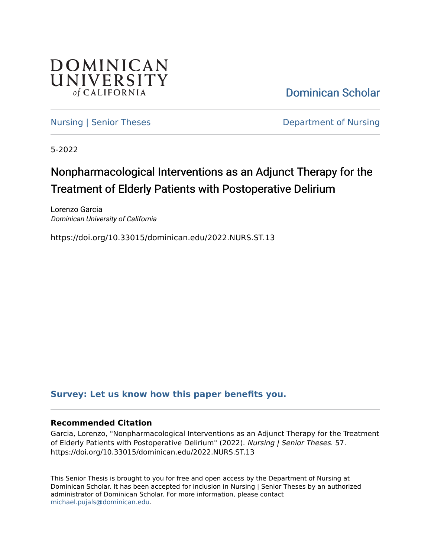

[Dominican Scholar](https://scholar.dominican.edu/) 

[Nursing | Senior Theses](https://scholar.dominican.edu/nursing-senior-theses) **Department of Nursing** 

5-2022

# Nonpharmacological Interventions as an Adjunct Therapy for the Treatment of Elderly Patients with Postoperative Delirium

Lorenzo Garcia Dominican University of California

https://doi.org/10.33015/dominican.edu/2022.NURS.ST.13

### **[Survey: Let us know how this paper benefits you.](https://dominican.libwizard.com/dominican-scholar-feedback)**

#### **Recommended Citation**

Garcia, Lorenzo, "Nonpharmacological Interventions as an Adjunct Therapy for the Treatment of Elderly Patients with Postoperative Delirium" (2022). Nursing | Senior Theses. 57. https://doi.org/10.33015/dominican.edu/2022.NURS.ST.13

This Senior Thesis is brought to you for free and open access by the Department of Nursing at Dominican Scholar. It has been accepted for inclusion in Nursing | Senior Theses by an authorized administrator of Dominican Scholar. For more information, please contact [michael.pujals@dominican.edu.](mailto:michael.pujals@dominican.edu)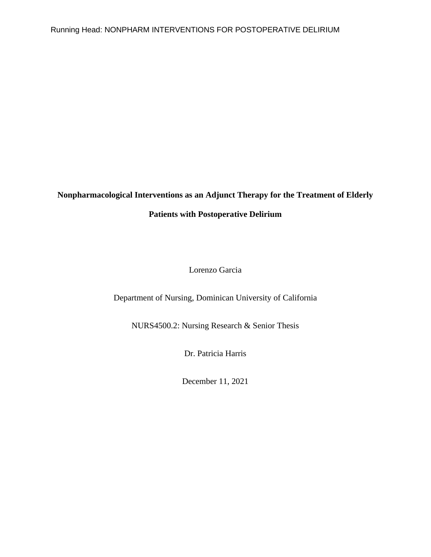### **Nonpharmacological Interventions as an Adjunct Therapy for the Treatment of Elderly**

### **Patients with Postoperative Delirium**

Lorenzo Garcia

Department of Nursing, Dominican University of California

NURS4500.2: Nursing Research & Senior Thesis

Dr. Patricia Harris

December 11, 2021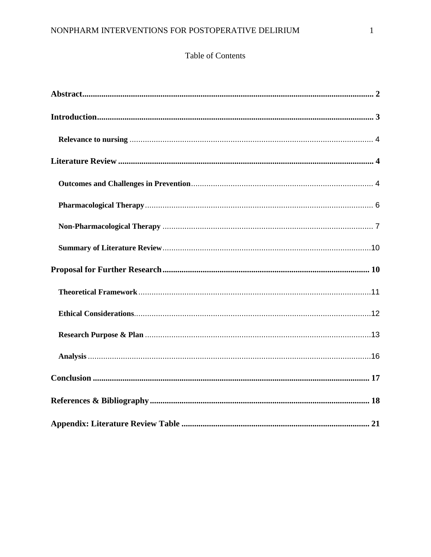### Table of Contents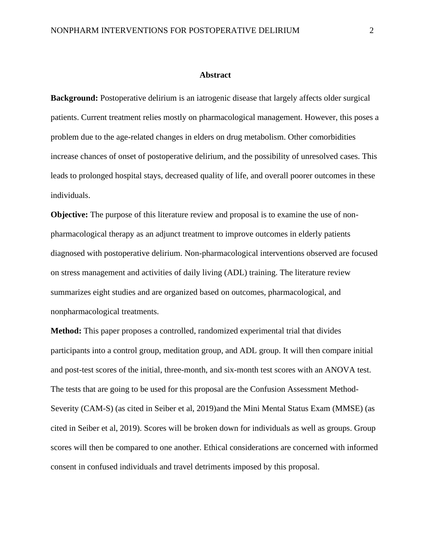#### **Abstract**

<span id="page-3-0"></span>**Background:** Postoperative delirium is an iatrogenic disease that largely affects older surgical patients. Current treatment relies mostly on pharmacological management. However, this poses a problem due to the age-related changes in elders on drug metabolism. Other comorbidities increase chances of onset of postoperative delirium, and the possibility of unresolved cases. This leads to prolonged hospital stays, decreased quality of life, and overall poorer outcomes in these individuals.

**Objective:** The purpose of this literature review and proposal is to examine the use of nonpharmacological therapy as an adjunct treatment to improve outcomes in elderly patients diagnosed with postoperative delirium. Non-pharmacological interventions observed are focused on stress management and activities of daily living (ADL) training. The literature review summarizes eight studies and are organized based on outcomes, pharmacological, and nonpharmacological treatments.

**Method:** This paper proposes a controlled, randomized experimental trial that divides participants into a control group, meditation group, and ADL group. It will then compare initial and post-test scores of the initial, three-month, and six-month test scores with an ANOVA test. The tests that are going to be used for this proposal are the Confusion Assessment Method-Severity (CAM-S) (as cited in Seiber et al, 2019)and the Mini Mental Status Exam (MMSE) (as cited in Seiber et al, 2019). Scores will be broken down for individuals as well as groups. Group scores will then be compared to one another. Ethical considerations are concerned with informed consent in confused individuals and travel detriments imposed by this proposal.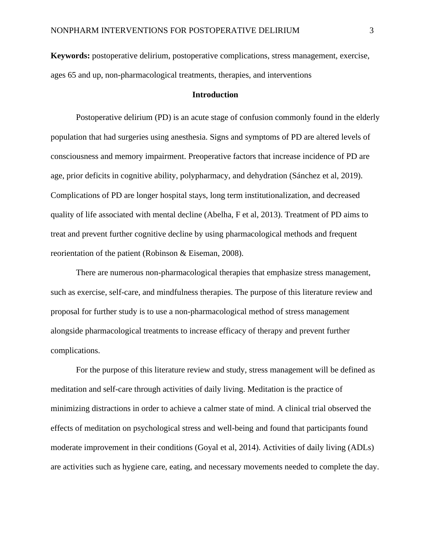**Keywords:** postoperative delirium, postoperative complications, stress management, exercise, ages 65 and up, non-pharmacological treatments, therapies, and interventions

#### **Introduction**

<span id="page-4-0"></span>Postoperative delirium (PD) is an acute stage of confusion commonly found in the elderly population that had surgeries using anesthesia. Signs and symptoms of PD are altered levels of consciousness and memory impairment. Preoperative factors that increase incidence of PD are age, prior deficits in cognitive ability, polypharmacy, and dehydration (Sánchez et al, 2019). Complications of PD are longer hospital stays, long term institutionalization, and decreased quality of life associated with mental decline (Abelha, F et al, 2013). Treatment of PD aims to treat and prevent further cognitive decline by using pharmacological methods and frequent reorientation of the patient (Robinson & Eiseman, 2008).

There are numerous non-pharmacological therapies that emphasize stress management, such as exercise, self-care, and mindfulness therapies. The purpose of this literature review and proposal for further study is to use a non-pharmacological method of stress management alongside pharmacological treatments to increase efficacy of therapy and prevent further complications.

For the purpose of this literature review and study, stress management will be defined as meditation and self-care through activities of daily living. Meditation is the practice of minimizing distractions in order to achieve a calmer state of mind. A clinical trial observed the effects of meditation on psychological stress and well-being and found that participants found moderate improvement in their conditions (Goyal et al, 2014). Activities of daily living (ADLs) are activities such as hygiene care, eating, and necessary movements needed to complete the day.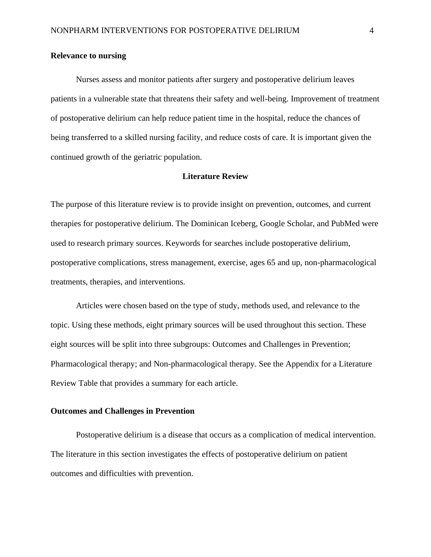#### <span id="page-5-0"></span>**Relevance to nursing**

Nurses assess and monitor patients after surgery and postoperative delirium leaves patients in a vulnerable state that threatens their safety and well-being. Improvement of treatment of postoperative delirium can help reduce patient time in the hospital, reduce the chances of being transferred to a skilled nursing facility, and reduce costs of care. It is important given the continued growth of the geriatric population.

#### **Literature Review**

<span id="page-5-1"></span>The purpose of this literature review is to provide insight on prevention, outcomes, and current therapies for postoperative delirium. The Dominican Iceberg, Google Scholar, and PubMed were used to research primary sources. Keywords for searches include postoperative delirium, postoperative complications, stress management, exercise, ages 65 and up, non-pharmacological treatments, therapies, and interventions.

Articles were chosen based on the type of study, methods used, and relevance to the topic. Using these methods, eight primary sources will be used throughout this section. These eight sources will be split into three subgroups: Outcomes and Challenges in Prevention; Pharmacological therapy; and Non-pharmacological therapy. See the Appendix for a Literature Review Table that provides a summary for each article.

#### <span id="page-5-2"></span>**Outcomes and Challenges in Prevention**

Postoperative delirium is a disease that occurs as a complication of medical intervention. The literature in this section investigates the effects of postoperative delirium on patient outcomes and difficulties with prevention.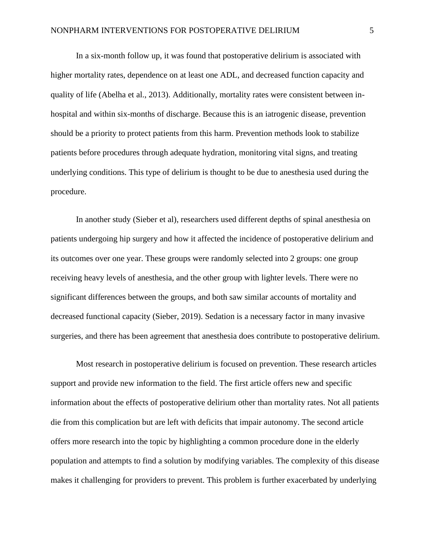In a six-month follow up, it was found that postoperative delirium is associated with higher mortality rates, dependence on at least one ADL, and decreased function capacity and quality of life (Abelha et al., 2013). Additionally, mortality rates were consistent between inhospital and within six-months of discharge. Because this is an iatrogenic disease, prevention should be a priority to protect patients from this harm. Prevention methods look to stabilize patients before procedures through adequate hydration, monitoring vital signs, and treating underlying conditions. This type of delirium is thought to be due to anesthesia used during the procedure.

In another study (Sieber et al), researchers used different depths of spinal anesthesia on patients undergoing hip surgery and how it affected the incidence of postoperative delirium and its outcomes over one year. These groups were randomly selected into 2 groups: one group receiving heavy levels of anesthesia, and the other group with lighter levels. There were no significant differences between the groups, and both saw similar accounts of mortality and decreased functional capacity (Sieber, 2019). Sedation is a necessary factor in many invasive surgeries, and there has been agreement that anesthesia does contribute to postoperative delirium.

 Most research in postoperative delirium is focused on prevention. These research articles support and provide new information to the field. The first article offers new and specific information about the effects of postoperative delirium other than mortality rates. Not all patients die from this complication but are left with deficits that impair autonomy. The second article offers more research into the topic by highlighting a common procedure done in the elderly population and attempts to find a solution by modifying variables. The complexity of this disease makes it challenging for providers to prevent. This problem is further exacerbated by underlying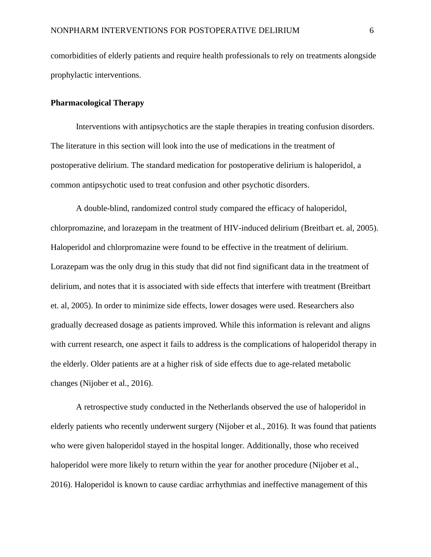comorbidities of elderly patients and require health professionals to rely on treatments alongside prophylactic interventions.

#### <span id="page-7-0"></span>**Pharmacological Therapy**

 Interventions with antipsychotics are the staple therapies in treating confusion disorders. The literature in this section will look into the use of medications in the treatment of postoperative delirium. The standard medication for postoperative delirium is haloperidol, a common antipsychotic used to treat confusion and other psychotic disorders.

A double-blind, randomized control study compared the efficacy of haloperidol, chlorpromazine, and lorazepam in the treatment of HIV-induced delirium (Breitbart et. al, 2005). Haloperidol and chlorpromazine were found to be effective in the treatment of delirium. Lorazepam was the only drug in this study that did not find significant data in the treatment of delirium, and notes that it is associated with side effects that interfere with treatment (Breitbart et. al, 2005). In order to minimize side effects, lower dosages were used. Researchers also gradually decreased dosage as patients improved. While this information is relevant and aligns with current research, one aspect it fails to address is the complications of haloperidol therapy in the elderly. Older patients are at a higher risk of side effects due to age-related metabolic changes (Nijober et al., 2016).

A retrospective study conducted in the Netherlands observed the use of haloperidol in elderly patients who recently underwent surgery (Nijober et al., 2016). It was found that patients who were given haloperidol stayed in the hospital longer. Additionally, those who received haloperidol were more likely to return within the year for another procedure (Nijober et al., 2016). Haloperidol is known to cause cardiac arrhythmias and ineffective management of this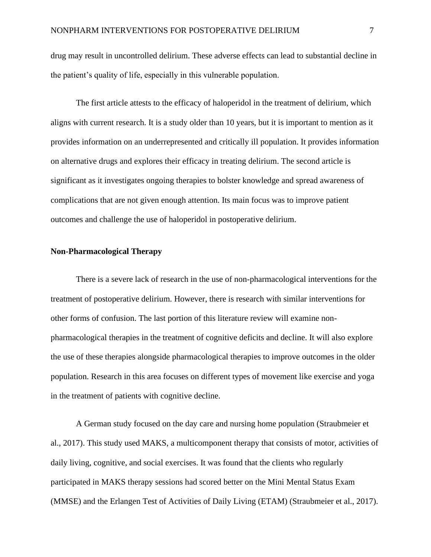drug may result in uncontrolled delirium. These adverse effects can lead to substantial decline in the patient's quality of life, especially in this vulnerable population.

 The first article attests to the efficacy of haloperidol in the treatment of delirium, which aligns with current research. It is a study older than 10 years, but it is important to mention as it provides information on an underrepresented and critically ill population. It provides information on alternative drugs and explores their efficacy in treating delirium. The second article is significant as it investigates ongoing therapies to bolster knowledge and spread awareness of complications that are not given enough attention. Its main focus was to improve patient outcomes and challenge the use of haloperidol in postoperative delirium.

#### <span id="page-8-0"></span>**Non-Pharmacological Therapy**

 There is a severe lack of research in the use of non-pharmacological interventions for the treatment of postoperative delirium. However, there is research with similar interventions for other forms of confusion. The last portion of this literature review will examine nonpharmacological therapies in the treatment of cognitive deficits and decline. It will also explore the use of these therapies alongside pharmacological therapies to improve outcomes in the older population. Research in this area focuses on different types of movement like exercise and yoga in the treatment of patients with cognitive decline.

A German study focused on the day care and nursing home population (Straubmeier et al., 2017). This study used MAKS, a multicomponent therapy that consists of motor, activities of daily living, cognitive, and social exercises. It was found that the clients who regularly participated in MAKS therapy sessions had scored better on the Mini Mental Status Exam (MMSE) and the Erlangen Test of Activities of Daily Living (ETAM) (Straubmeier et al., 2017).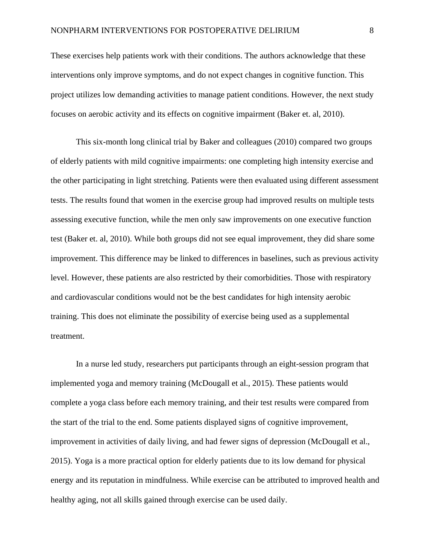These exercises help patients work with their conditions. The authors acknowledge that these interventions only improve symptoms, and do not expect changes in cognitive function. This project utilizes low demanding activities to manage patient conditions. However, the next study focuses on aerobic activity and its effects on cognitive impairment (Baker et. al, 2010).

This six-month long clinical trial by Baker and colleagues (2010) compared two groups of elderly patients with mild cognitive impairments: one completing high intensity exercise and the other participating in light stretching. Patients were then evaluated using different assessment tests. The results found that women in the exercise group had improved results on multiple tests assessing executive function, while the men only saw improvements on one executive function test (Baker et. al, 2010). While both groups did not see equal improvement, they did share some improvement. This difference may be linked to differences in baselines, such as previous activity level. However, these patients are also restricted by their comorbidities. Those with respiratory and cardiovascular conditions would not be the best candidates for high intensity aerobic training. This does not eliminate the possibility of exercise being used as a supplemental treatment.

In a nurse led study, researchers put participants through an eight-session program that implemented yoga and memory training (McDougall et al., 2015). These patients would complete a yoga class before each memory training, and their test results were compared from the start of the trial to the end. Some patients displayed signs of cognitive improvement, improvement in activities of daily living, and had fewer signs of depression (McDougall et al., 2015). Yoga is a more practical option for elderly patients due to its low demand for physical energy and its reputation in mindfulness. While exercise can be attributed to improved health and healthy aging, not all skills gained through exercise can be used daily.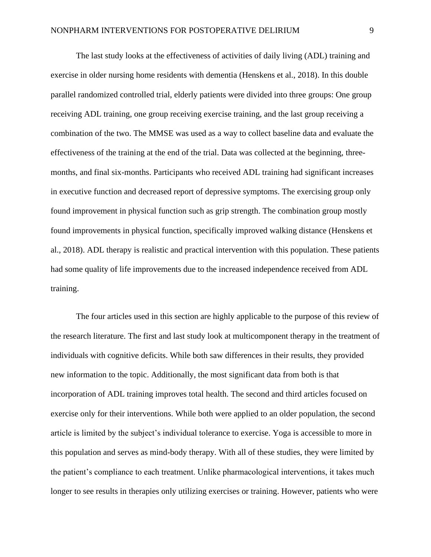The last study looks at the effectiveness of activities of daily living (ADL) training and exercise in older nursing home residents with dementia (Henskens et al., 2018). In this double parallel randomized controlled trial, elderly patients were divided into three groups: One group receiving ADL training, one group receiving exercise training, and the last group receiving a combination of the two. The MMSE was used as a way to collect baseline data and evaluate the effectiveness of the training at the end of the trial. Data was collected at the beginning, threemonths, and final six-months. Participants who received ADL training had significant increases in executive function and decreased report of depressive symptoms. The exercising group only found improvement in physical function such as grip strength. The combination group mostly found improvements in physical function, specifically improved walking distance (Henskens et al., 2018). ADL therapy is realistic and practical intervention with this population. These patients had some quality of life improvements due to the increased independence received from ADL training.

 The four articles used in this section are highly applicable to the purpose of this review of the research literature. The first and last study look at multicomponent therapy in the treatment of individuals with cognitive deficits. While both saw differences in their results, they provided new information to the topic. Additionally, the most significant data from both is that incorporation of ADL training improves total health. The second and third articles focused on exercise only for their interventions. While both were applied to an older population, the second article is limited by the subject's individual tolerance to exercise. Yoga is accessible to more in this population and serves as mind-body therapy. With all of these studies, they were limited by the patient's compliance to each treatment. Unlike pharmacological interventions, it takes much longer to see results in therapies only utilizing exercises or training. However, patients who were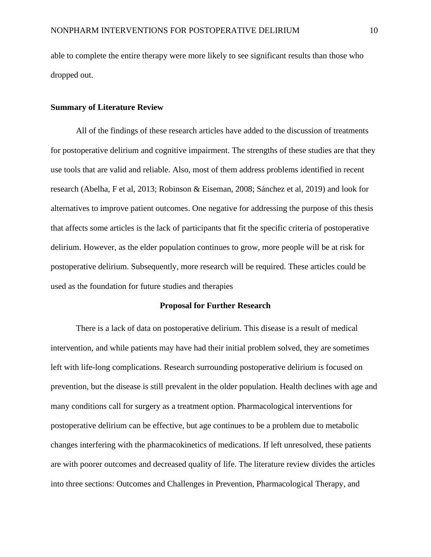able to complete the entire therapy were more likely to see significant results than those who dropped out.

#### <span id="page-11-0"></span>**Summary of Literature Review**

 All of the findings of these research articles have added to the discussion of treatments for postoperative delirium and cognitive impairment. The strengths of these studies are that they use tools that are valid and reliable. Also, most of them address problems identified in recent research (Abelha, F et al, 2013; Robinson & Eiseman, 2008; Sánchez et al, 2019) and look for alternatives to improve patient outcomes. One negative for addressing the purpose of this thesis that affects some articles is the lack of participants that fit the specific criteria of postoperative delirium. However, as the elder population continues to grow, more people will be at risk for postoperative delirium. Subsequently, more research will be required. These articles could be used as the foundation for future studies and therapies

#### **Proposal for Further Research**

<span id="page-11-1"></span>There is a lack of data on postoperative delirium. This disease is a result of medical intervention, and while patients may have had their initial problem solved, they are sometimes left with life-long complications. Research surrounding postoperative delirium is focused on prevention, but the disease is still prevalent in the older population. Health declines with age and many conditions call for surgery as a treatment option. Pharmacological interventions for postoperative delirium can be effective, but age continues to be a problem due to metabolic changes interfering with the pharmacokinetics of medications. If left unresolved, these patients are with poorer outcomes and decreased quality of life. The literature review divides the articles into three sections: Outcomes and Challenges in Prevention, Pharmacological Therapy, and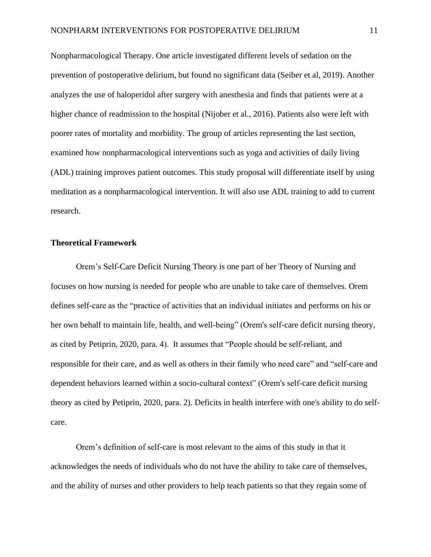Nonpharmacological Therapy. One article investigated different levels of sedation on the prevention of postoperative delirium, but found no significant data (Seiber et al, 2019). Another analyzes the use of haloperidol after surgery with anesthesia and finds that patients were at a higher chance of readmission to the hospital (Nijober et al., 2016). Patients also were left with poorer rates of mortality and morbidity. The group of articles representing the last section, examined how nonpharmacological interventions such as yoga and activities of daily living (ADL) training improves patient outcomes. This study proposal will differentiate itself by using meditation as a nonpharmacological intervention. It will also use ADL training to add to current research.

#### <span id="page-12-0"></span>**Theoretical Framework**

Orem's Self-Care Deficit Nursing Theory is one part of her Theory of Nursing and focuses on how nursing is needed for people who are unable to take care of themselves. Orem defines self-care as the "practice of activities that an individual initiates and performs on his or her own behalf to maintain life, health, and well-being" (Orem's self-care deficit nursing theory, as cited by Petiprin, 2020, para. 4). It assumes that "People should be self-reliant, and responsible for their care, and as well as others in their family who need care" and "self-care and dependent behaviors learned within a socio-cultural context" (Orem's self-care deficit nursing theory as cited by Petiprin, 2020, para. 2). Deficits in health interfere with one's ability to do selfcare.

Orem's definition of self-care is most relevant to the aims of this study in that it acknowledges the needs of individuals who do not have the ability to take care of themselves, and the ability of nurses and other providers to help teach patients so that they regain some of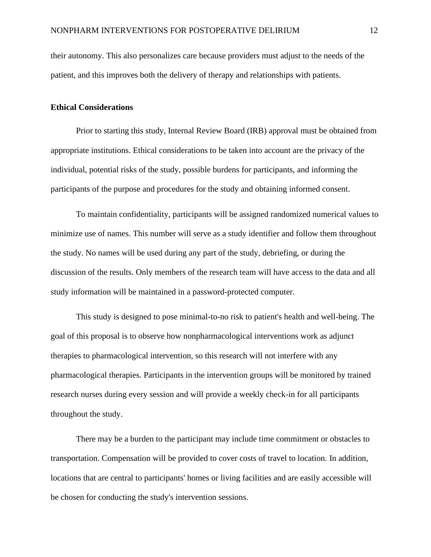their autonomy. This also personalizes care because providers must adjust to the needs of the patient, and this improves both the delivery of therapy and relationships with patients.

#### <span id="page-13-0"></span>**Ethical Considerations**

Prior to starting this study, Internal Review Board (IRB) approval must be obtained from appropriate institutions. Ethical considerations to be taken into account are the privacy of the individual, potential risks of the study, possible burdens for participants, and informing the participants of the purpose and procedures for the study and obtaining informed consent.

To maintain confidentiality, participants will be assigned randomized numerical values to minimize use of names. This number will serve as a study identifier and follow them throughout the study. No names will be used during any part of the study, debriefing, or during the discussion of the results. Only members of the research team will have access to the data and all study information will be maintained in a password-protected computer.

This study is designed to pose minimal-to-no risk to patient's health and well-being. The goal of this proposal is to observe how nonpharmacological interventions work as adjunct therapies to pharmacological intervention, so this research will not interfere with any pharmacological therapies. Participants in the intervention groups will be monitored by trained research nurses during every session and will provide a weekly check-in for all participants throughout the study.

There may be a burden to the participant may include time commitment or obstacles to transportation. Compensation will be provided to cover costs of travel to location. In addition, locations that are central to participants' homes or living facilities and are easily accessible will be chosen for conducting the study's intervention sessions.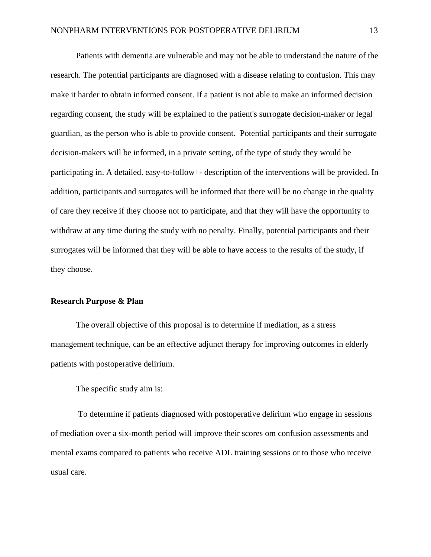Patients with dementia are vulnerable and may not be able to understand the nature of the research. The potential participants are diagnosed with a disease relating to confusion. This may make it harder to obtain informed consent. If a patient is not able to make an informed decision regarding consent, the study will be explained to the patient's surrogate decision-maker or legal guardian, as the person who is able to provide consent. Potential participants and their surrogate decision-makers will be informed, in a private setting, of the type of study they would be participating in. A detailed. easy-to-follow+- description of the interventions will be provided. In addition, participants and surrogates will be informed that there will be no change in the quality of care they receive if they choose not to participate, and that they will have the opportunity to withdraw at any time during the study with no penalty. Finally, potential participants and their surrogates will be informed that they will be able to have access to the results of the study, if they choose.

#### <span id="page-14-0"></span>**Research Purpose & Plan**

The overall objective of this proposal is to determine if mediation, as a stress management technique, can be an effective adjunct therapy for improving outcomes in elderly patients with postoperative delirium.

The specific study aim is:

To determine if patients diagnosed with postoperative delirium who engage in sessions of mediation over a six-month period will improve their scores om confusion assessments and mental exams compared to patients who receive ADL training sessions or to those who receive usual care.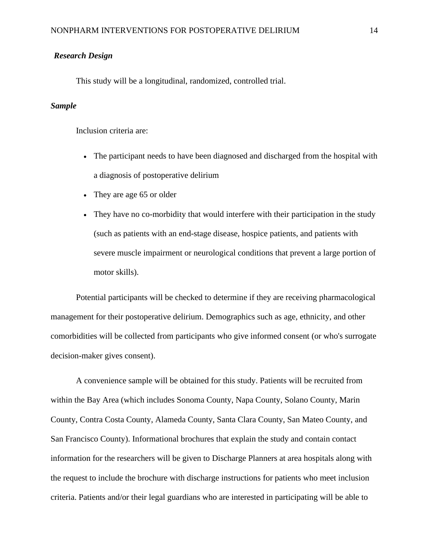#### *Research Design*

This study will be a longitudinal, randomized, controlled trial.

#### *Sample*

Inclusion criteria are:

- The participant needs to have been diagnosed and discharged from the hospital with a diagnosis of postoperative delirium
- They are age 65 or older
- They have no co-morbidity that would interfere with their participation in the study (such as patients with an end-stage disease, hospice patients, and patients with severe muscle impairment or neurological conditions that prevent a large portion of motor skills).

Potential participants will be checked to determine if they are receiving pharmacological management for their postoperative delirium. Demographics such as age, ethnicity, and other comorbidities will be collected from participants who give informed consent (or who's surrogate decision-maker gives consent).

A convenience sample will be obtained for this study. Patients will be recruited from within the Bay Area (which includes Sonoma County, Napa County, Solano County, Marin County, Contra Costa County, Alameda County, Santa Clara County, San Mateo County, and San Francisco County). Informational brochures that explain the study and contain contact information for the researchers will be given to Discharge Planners at area hospitals along with the request to include the brochure with discharge instructions for patients who meet inclusion criteria. Patients and/or their legal guardians who are interested in participating will be able to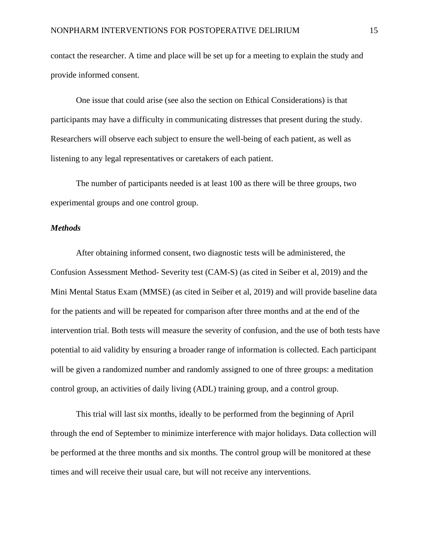contact the researcher. A time and place will be set up for a meeting to explain the study and provide informed consent.

One issue that could arise (see also the section on Ethical Considerations) is that participants may have a difficulty in communicating distresses that present during the study. Researchers will observe each subject to ensure the well-being of each patient, as well as listening to any legal representatives or caretakers of each patient.

The number of participants needed is at least 100 as there will be three groups, two experimental groups and one control group.

#### *Methods*

After obtaining informed consent, two diagnostic tests will be administered, the Confusion Assessment Method- Severity test (CAM-S) (as cited in Seiber et al, 2019) and the Mini Mental Status Exam (MMSE) (as cited in Seiber et al, 2019) and will provide baseline data for the patients and will be repeated for comparison after three months and at the end of the intervention trial. Both tests will measure the severity of confusion, and the use of both tests have potential to aid validity by ensuring a broader range of information is collected. Each participant will be given a randomized number and randomly assigned to one of three groups: a meditation control group, an activities of daily living (ADL) training group, and a control group.

This trial will last six months, ideally to be performed from the beginning of April through the end of September to minimize interference with major holidays. Data collection will be performed at the three months and six months. The control group will be monitored at these times and will receive their usual care, but will not receive any interventions.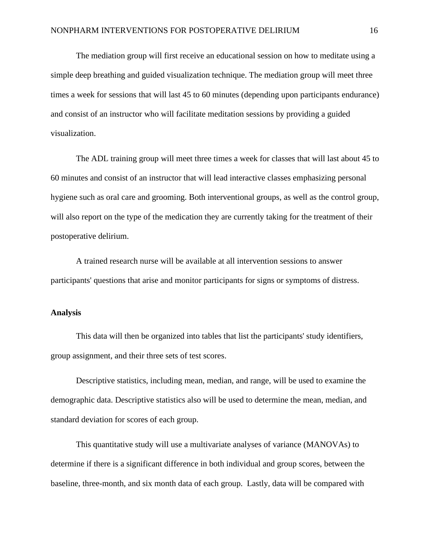The mediation group will first receive an educational session on how to meditate using a simple deep breathing and guided visualization technique. The mediation group will meet three times a week for sessions that will last 45 to 60 minutes (depending upon participants endurance) and consist of an instructor who will facilitate meditation sessions by providing a guided visualization.

The ADL training group will meet three times a week for classes that will last about 45 to 60 minutes and consist of an instructor that will lead interactive classes emphasizing personal hygiene such as oral care and grooming. Both interventional groups, as well as the control group, will also report on the type of the medication they are currently taking for the treatment of their postoperative delirium.

A trained research nurse will be available at all intervention sessions to answer participants' questions that arise and monitor participants for signs or symptoms of distress.

#### <span id="page-17-0"></span>**Analysis**

This data will then be organized into tables that list the participants' study identifiers, group assignment, and their three sets of test scores.

Descriptive statistics, including mean, median, and range, will be used to examine the demographic data. Descriptive statistics also will be used to determine the mean, median, and standard deviation for scores of each group.

This quantitative study will use a multivariate analyses of variance (MANOVAs) to determine if there is a significant difference in both individual and group scores, between the baseline, three-month, and six month data of each group. Lastly, data will be compared with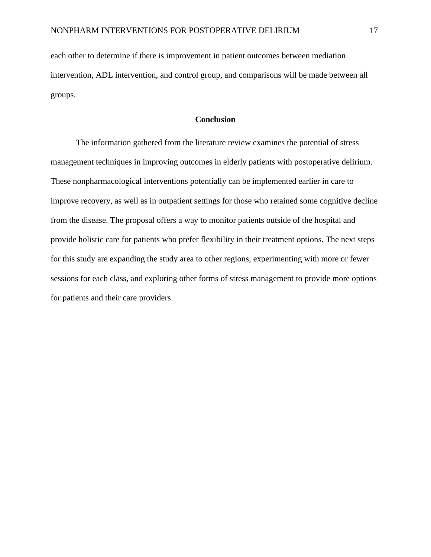each other to determine if there is improvement in patient outcomes between mediation intervention, ADL intervention, and control group, and comparisons will be made between all groups.

#### **Conclusion**

<span id="page-18-0"></span>The information gathered from the literature review examines the potential of stress management techniques in improving outcomes in elderly patients with postoperative delirium. These nonpharmacological interventions potentially can be implemented earlier in care to improve recovery, as well as in outpatient settings for those who retained some cognitive decline from the disease. The proposal offers a way to monitor patients outside of the hospital and provide holistic care for patients who prefer flexibility in their treatment options. The next steps for this study are expanding the study area to other regions, experimenting with more or fewer sessions for each class, and exploring other forms of stress management to provide more options for patients and their care providers.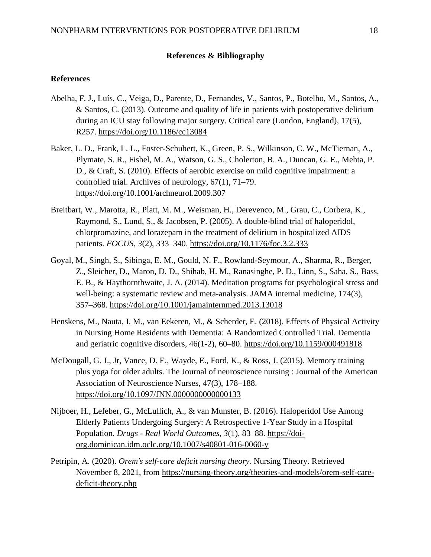#### **References & Bibliography**

#### <span id="page-19-0"></span>**References**

- Abelha, F. J., Luís, C., Veiga, D., Parente, D., Fernandes, V., Santos, P., Botelho, M., Santos, A., & Santos, C. (2013). Outcome and quality of life in patients with postoperative delirium during an ICU stay following major surgery. Critical care (London, England), 17(5), R257. https://doi.org/10.1186/cc13084
- Baker, L. D., Frank, L. L., Foster-Schubert, K., Green, P. S., Wilkinson, C. W., McTiernan, A., Plymate, S. R., Fishel, M. A., Watson, G. S., Cholerton, B. A., Duncan, G. E., Mehta, P. D., & Craft, S. (2010). Effects of aerobic exercise on mild cognitive impairment: a controlled trial. Archives of neurology, 67(1), 71–79. https://doi.org/10.1001/archneurol.2009.307
- Breitbart, W., Marotta, R., Platt, M. M., Weisman, H., Derevenco, M., Grau, C., Corbera, K., Raymond, S., Lund, S., & Jacobsen, P. (2005). A double-blind trial of haloperidol, chlorpromazine, and lorazepam in the treatment of delirium in hospitalized AIDS patients. *FOCUS*, *3*(2), 333–340.<https://doi.org/10.1176/foc.3.2.333>
- Goyal, M., Singh, S., Sibinga, E. M., Gould, N. F., Rowland-Seymour, A., Sharma, R., Berger, Z., Sleicher, D., Maron, D. D., Shihab, H. M., Ranasinghe, P. D., Linn, S., Saha, S., Bass, E. B., & Haythornthwaite, J. A. (2014). Meditation programs for psychological stress and well-being: a systematic review and meta-analysis. JAMA internal medicine, 174(3), 357–368. https://doi.org/10.1001/jamainternmed.2013.13018
- Henskens, M., Nauta, I. M., van Eekeren, M., & Scherder, E. (2018). Effects of Physical Activity in Nursing Home Residents with Dementia: A Randomized Controlled Trial. Dementia and geriatric cognitive disorders, 46(1-2), 60–80. https://doi.org/10.1159/000491818
- McDougall, G. J., Jr, Vance, D. E., Wayde, E., Ford, K., & Ross, J. (2015). Memory training plus yoga for older adults. The Journal of neuroscience nursing : Journal of the American Association of Neuroscience Nurses, 47(3), 178–188. https://doi.org/10.1097/JNN.0000000000000133
- Nijboer, H., Lefeber, G., McLullich, A., & van Munster, B. (2016). Haloperidol Use Among Elderly Patients Undergoing Surgery: A Retrospective 1-Year Study in a Hospital Population. *Drugs - Real World Outcomes*, *3*(1), 83–88. [https://doi](https://doi-org.dominican.idm.oclc.org/10.1007/s40801-016-0060-y)[org.dominican.idm.oclc.org/10.1007/s40801-016-0060-y](https://doi-org.dominican.idm.oclc.org/10.1007/s40801-016-0060-y)
- Petripin, A. (2020). *Orem's self-care deficit nursing theory.* Nursing Theory. Retrieved November 8, 2021, from https://nursing-theory.org/theories-and-models/orem-self-caredeficit-theory.php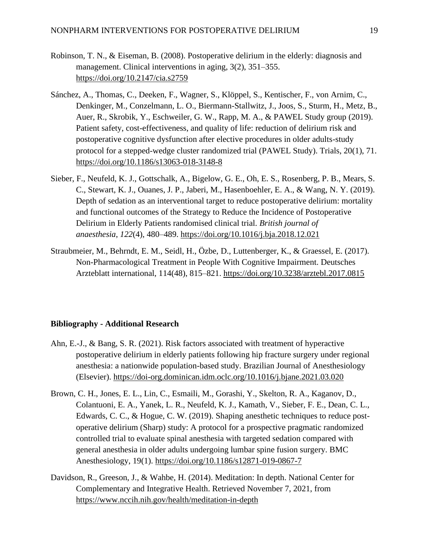- Robinson, T. N., & Eiseman, B. (2008). Postoperative delirium in the elderly: diagnosis and management. Clinical interventions in aging, 3(2), 351–355. https://doi.org/10.2147/cia.s2759
- Sánchez, A., Thomas, C., Deeken, F., Wagner, S., Klöppel, S., Kentischer, F., von Arnim, C., Denkinger, M., Conzelmann, L. O., Biermann-Stallwitz, J., Joos, S., Sturm, H., Metz, B., Auer, R., Skrobik, Y., Eschweiler, G. W., Rapp, M. A., & PAWEL Study group (2019). Patient safety, cost-effectiveness, and quality of life: reduction of delirium risk and postoperative cognitive dysfunction after elective procedures in older adults-study protocol for a stepped-wedge cluster randomized trial (PAWEL Study). Trials, 20(1), 71. https://doi.org/10.1186/s13063-018-3148-8
- Sieber, F., Neufeld, K. J., Gottschalk, A., Bigelow, G. E., Oh, E. S., Rosenberg, P. B., Mears, S. C., Stewart, K. J., Ouanes, J. P., Jaberi, M., Hasenboehler, E. A., & Wang, N. Y. (2019). Depth of sedation as an interventional target to reduce postoperative delirium: mortality and functional outcomes of the Strategy to Reduce the Incidence of Postoperative Delirium in Elderly Patients randomised clinical trial. *British journal of anaesthesia*, *122*(4), 480–489.<https://doi.org/10.1016/j.bja.2018.12.021>
- Straubmeier, M., Behrndt, E. M., Seidl, H., Özbe, D., Luttenberger, K., & Graessel, E. (2017). Non-Pharmacological Treatment in People With Cognitive Impairment. Deutsches Arzteblatt international, 114(48), 815–821. https://doi.org/10.3238/arztebl.2017.0815

#### **Bibliography - Additional Research**

- Ahn, E.-J., & Bang, S. R. (2021). Risk factors associated with treatment of hyperactive postoperative delirium in elderly patients following hip fracture surgery under regional anesthesia: a nationwide population-based study. Brazilian Journal of Anesthesiology (Elsevier). https://doi-org.dominican.idm.oclc.org/10.1016/j.bjane.2021.03.020
- Brown, C. H., Jones, E. L., Lin, C., Esmaili, M., Gorashi, Y., Skelton, R. A., Kaganov, D., Colantuoni, E. A., Yanek, L. R., Neufeld, K. J., Kamath, V., Sieber, F. E., Dean, C. L., Edwards, C. C., & Hogue, C. W. (2019). Shaping anesthetic techniques to reduce postoperative delirium (Sharp) study: A protocol for a prospective pragmatic randomized controlled trial to evaluate spinal anesthesia with targeted sedation compared with general anesthesia in older adults undergoing lumbar spine fusion surgery. BMC Anesthesiology, 19(1). https://doi.org/10.1186/s12871-019-0867-7
- Davidson, R., Greeson, J., & Wahbe, H. (2014). Meditation: In depth. National Center for Complementary and Integrative Health. Retrieved November 7, 2021, from https://www.nccih.nih.gov/health/meditation-in-depth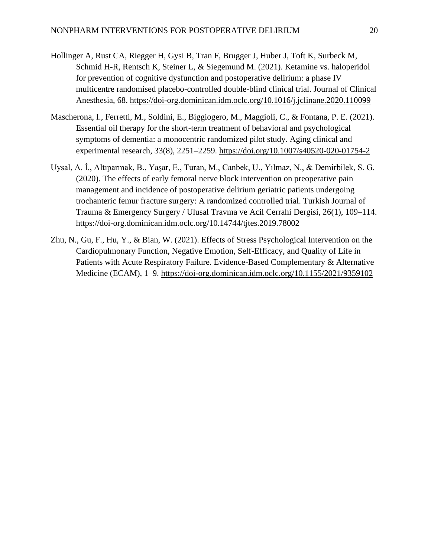- Hollinger A, Rust CA, Riegger H, Gysi B, Tran F, Brugger J, Huber J, Toft K, Surbeck M, Schmid H-R, Rentsch K, Steiner L, & Siegemund M. (2021). Ketamine vs. haloperidol for prevention of cognitive dysfunction and postoperative delirium: a phase IV multicentre randomised placebo-controlled double-blind clinical trial. Journal of Clinical Anesthesia, 68. https://doi-org.dominican.idm.oclc.org/10.1016/j.jclinane.2020.110099
- Mascherona, I., Ferretti, M., Soldini, E., Biggiogero, M., Maggioli, C., & Fontana, P. E. (2021). Essential oil therapy for the short-term treatment of behavioral and psychological symptoms of dementia: a monocentric randomized pilot study. Aging clinical and experimental research, 33(8), 2251–2259. https://doi.org/10.1007/s40520-020-01754-2
- Uysal, A. İ., Altıparmak, B., Yaşar, E., Turan, M., Canbek, U., Yılmaz, N., & Demirbilek, S. G. (2020). The effects of early femoral nerve block intervention on preoperative pain management and incidence of postoperative delirium geriatric patients undergoing trochanteric femur fracture surgery: A randomized controlled trial. Turkish Journal of Trauma & Emergency Surgery / Ulusal Travma ve Acil Cerrahi Dergisi, 26(1), 109–114. https://doi-org.dominican.idm.oclc.org/10.14744/tjtes.2019.78002
- Zhu, N., Gu, F., Hu, Y., & Bian, W. (2021). Effects of Stress Psychological Intervention on the Cardiopulmonary Function, Negative Emotion, Self-Efficacy, and Quality of Life in Patients with Acute Respiratory Failure. Evidence-Based Complementary & Alternative Medicine (ECAM), 1–9. https://doi-org.dominican.idm.oclc.org/10.1155/2021/9359102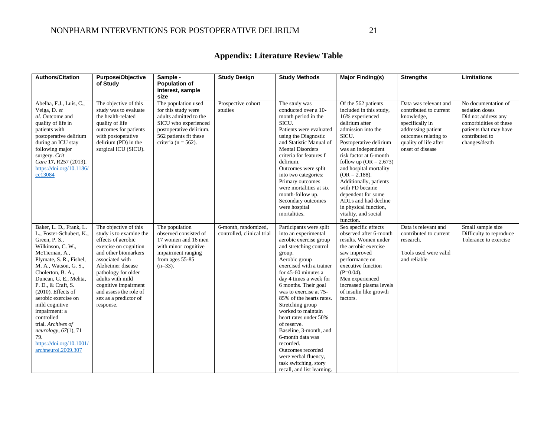<span id="page-22-0"></span>

| <b>Authors/Citation</b>                                                                                                                                                                                                                                                                                                                                                                                                                            | <b>Purpose/Objective</b><br>of Study                                                                                                                                                                                                                                                               | Sample -<br><b>Population of</b><br>interest, sample<br>size                                                                                                                 | <b>Study Design</b>                                | <b>Study Methods</b>                                                                                                                                                                                                                                                                                                                                                                                                                                                                                                                       | Major Finding(s)                                                                                                                                                                                                                                                                                                                                                                                                              | <b>Strengths</b>                                                                                                                                                            | Limitations                                                                                                                                         |
|----------------------------------------------------------------------------------------------------------------------------------------------------------------------------------------------------------------------------------------------------------------------------------------------------------------------------------------------------------------------------------------------------------------------------------------------------|----------------------------------------------------------------------------------------------------------------------------------------------------------------------------------------------------------------------------------------------------------------------------------------------------|------------------------------------------------------------------------------------------------------------------------------------------------------------------------------|----------------------------------------------------|--------------------------------------------------------------------------------------------------------------------------------------------------------------------------------------------------------------------------------------------------------------------------------------------------------------------------------------------------------------------------------------------------------------------------------------------------------------------------------------------------------------------------------------------|-------------------------------------------------------------------------------------------------------------------------------------------------------------------------------------------------------------------------------------------------------------------------------------------------------------------------------------------------------------------------------------------------------------------------------|-----------------------------------------------------------------------------------------------------------------------------------------------------------------------------|-----------------------------------------------------------------------------------------------------------------------------------------------------|
| Abelha, F.J., Luís, C.,<br>Veiga, D. et<br>al. Outcome and<br>quality of life in<br>patients with<br>postoperative delirium<br>during an ICU stay<br>following major<br>surgery. Crit<br>Care 17, R257 (2013).<br>https://doi.org/10.1186/<br>cc13084                                                                                                                                                                                              | The objective of this<br>study was to evaluate<br>the health-related<br>quality of life<br>outcomes for patients<br>with postoperative<br>delirium (PD) in the<br>surgical ICU (SICU).                                                                                                             | The population used<br>for this study were<br>adults admitted to the<br>SICU who experienced<br>postoperative delirium.<br>562 patients fit these<br>criteria ( $n = 562$ ). | Prospective cohort<br>studies                      | The study was<br>conducted over a 10-<br>month period in the<br>SICU.<br>Patients were evaluated<br>using the Diagnostic<br>and Statistic Manual of<br><b>Mental Disorders</b><br>criteria for features f<br>delirium.<br>Outcomes were split<br>into two categories:<br>Primary outcomes<br>were mortalities at six<br>month-follow up.<br>Secondary outcomes<br>were hospital<br>mortalities.                                                                                                                                            | Of the 562 patients<br>included in this study,<br>16% experienced<br>delirium after<br>admission into the<br>SICU.<br>Postoperative delirium<br>was an independent<br>risk factor at 6-month<br>follow up $(OR = 2.673)$<br>and hospital mortality<br>$(OR = 2.188).$<br>Additionally, patients<br>with PD became<br>dependent for some<br>ADLs and had decline<br>in physical function,<br>vitality, and social<br>function. | Data was relevant and<br>contributed to current<br>knowledge,<br>specifically in<br>addressing patient<br>outcomes relating to<br>quality of life after<br>onset of disease | No documentation of<br>sedation doses<br>Did not address any<br>comorbidities of these<br>patients that may have<br>contributed to<br>changes/death |
| Baker, L. D., Frank, L.<br>L., Foster-Schubert, K.,<br>Green, P. S.,<br>Wilkinson, C. W.,<br>McTiernan, A.,<br>Plymate, S. R., Fishel,<br>M. A., Watson, G. S.,<br>Cholerton, B. A.,<br>Duncan, G. E., Mehta,<br>P. D., & Craft, S.<br>$(2010)$ . Effects of<br>aerobic exercise on<br>mild cognitive<br>impairment: a<br>controlled<br>trial. Archives of<br>neurology, $67(1)$ , $71-$<br>79.<br>https://doi.org/10.1001/<br>archneurol.2009.307 | The objective of this<br>study is to examine the<br>effects of aerobic<br>exercise on cognition<br>and other biomarkers<br>associated with<br>Alzheimer disease<br>pathology for older<br>adults with mild<br>cognitive impairment<br>and assess the role of<br>sex as a predictor of<br>response. | The population<br>observed consisted of<br>17 women and 16 men<br>with minor cognitive<br>impairment ranging<br>from ages 55-85<br>$(n=33)$ .                                | 6-month, randomized,<br>controlled, clinical trial | Participants were split<br>into an experimental<br>aerobic exercise group<br>and stretching control<br>group.<br>Aerobic group<br>exercised with a trainer<br>for 45-60 minutes a<br>day 4 times a week for<br>6 months. Their goal<br>was to exercise at 75-<br>85% of the hearts rates.<br>Stretching group<br>worked to maintain<br>heart rates under 50%<br>of reserve.<br>Baseline, 3-month, and<br>6-month data was<br>recorded.<br>Outcomes recorded<br>were verbal fluency,<br>task switching, story<br>recall, and list learning. | Sex specific effects<br>observed after 6-month<br>results. Women under<br>the aerobic exercise<br>saw improved<br>performance on<br>executive function<br>$(P=0.04)$ .<br>Men experienced<br>increased plasma levels<br>of insulin like growth<br>factors.                                                                                                                                                                    | Data is relevant and<br>contributed to current<br>research.<br>Tools used were valid<br>and reliable                                                                        | Small sample size<br>Difficulty to reproduce<br>Tolerance to exercise                                                                               |

## **Appendix: Literature Review Table**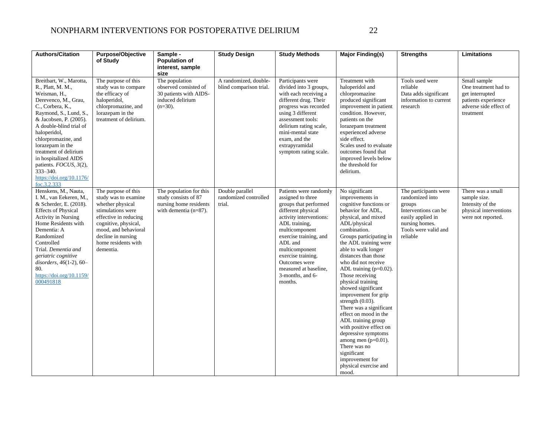### NONPHARM INTERVENTIONS FOR POSTOPERATIVE DELIRIUM 22

| <b>Authors/Citation</b>                                                                                                                                                                                                                                                                                                                                                              | Purpose/Objective<br>of Study                                                                                                                                                                                           | Sample -<br><b>Population of</b><br>interest, sample<br>size                                          | <b>Study Design</b>                                | <b>Study Methods</b>                                                                                                                                                                                                                                                                                           | <b>Major Finding(s)</b>                                                                                                                                                                                                                                                                                                                                                                                                                                                                                                                                                                                                                               | <b>Strengths</b>                                                                                                                                      | Limitations                                                                                                           |
|--------------------------------------------------------------------------------------------------------------------------------------------------------------------------------------------------------------------------------------------------------------------------------------------------------------------------------------------------------------------------------------|-------------------------------------------------------------------------------------------------------------------------------------------------------------------------------------------------------------------------|-------------------------------------------------------------------------------------------------------|----------------------------------------------------|----------------------------------------------------------------------------------------------------------------------------------------------------------------------------------------------------------------------------------------------------------------------------------------------------------------|-------------------------------------------------------------------------------------------------------------------------------------------------------------------------------------------------------------------------------------------------------------------------------------------------------------------------------------------------------------------------------------------------------------------------------------------------------------------------------------------------------------------------------------------------------------------------------------------------------------------------------------------------------|-------------------------------------------------------------------------------------------------------------------------------------------------------|-----------------------------------------------------------------------------------------------------------------------|
| Breitbart, W., Marotta,<br>R., Platt, M. M.,<br>Weisman, H.,<br>Derevenco, M., Grau,<br>C., Corbera, K.,<br>Raymond, S., Lund, S.,<br>& Jacobsen, P. (2005).<br>A double-blind trial of<br>haloperidol,<br>chlorpromazine, and<br>lorazepam in the<br>treatment of delirium<br>in hospitalized AIDS<br>patients. FOCUS, 3(2),<br>333-340.<br>https://doi.org/10.1176/<br>foc.3.2.333 | The purpose of this<br>study was to compare<br>the efficacy of<br>haloperidol,<br>chlorpromazine, and<br>lorazepam in the<br>treatment of delirium.                                                                     | The population<br>observed consisted of<br>30 patients with AIDS-<br>induced delirium<br>$(n=30)$ .   | A randomized, double-<br>blind comparison trial.   | Participants were<br>divided into 3 groups,<br>with each receiving a<br>different drug. Their<br>progress was recorded<br>using 3 different<br>assessment tools:<br>delirium rating scale,<br>mini-mental state<br>exam, and the<br>extrapyramidal<br>symptom rating scale.                                    | Treatment with<br>haloperidol and<br>chlorpromazine<br>produced significant<br>improvement in patient<br>condition. However,<br>patients on the<br>lorazepam treatment<br>experienced adverse<br>side effect.<br>Scales used to evaluate<br>outcomes found that<br>improved levels below<br>the threshold for<br>delirium.                                                                                                                                                                                                                                                                                                                            | Tools used were<br>reliable<br>Data adds significant<br>information to current<br>research                                                            | Small sample<br>One treatment had to<br>get interrupted<br>patients experience<br>adverse side effect of<br>treatment |
| Henskens, M., Nauta,<br>I. M., van Eekeren, M.,<br>& Scherder, E. (2018).<br><b>Effects of Physical</b><br><b>Activity in Nursing</b><br>Home Residents with<br>Dementia: A<br>Randomized<br>Controlled<br>Trial. Dementia and<br>geriatric cognitive<br>disorders, 46(1-2), 60–<br>80.<br>https://doi.org/10.1159/<br>000491818                                                     | The purpose of this<br>study was to examine<br>whether physical<br>stimulations were<br>effective in reducing<br>cognitive, physical,<br>mood, and behavioral<br>decline in nursing<br>home residents with<br>dementia. | The population for this<br>study consists of 87<br>nursing home residents<br>with dementia $(n=87)$ . | Double parallel<br>randomized controlled<br>trial. | Patients were randomly<br>assigned to three<br>groups that performed<br>different physical<br>activity interventions:<br>ADL training,<br>multicomponent<br>exercise training, and<br>ADL and<br>multicomponent<br>exercise training.<br>Outcomes were<br>measured at baseline,<br>3-months, and 6-<br>months. | No significant<br>improvements in<br>cognitive functions or<br>behavior for ADL,<br>physical, and mixed<br>ADL/physical<br>combination.<br>Groups participating in<br>the ADL training were<br>able to walk longer<br>distances than those<br>who did not receive<br>ADL training $(p=0.02)$ .<br>Those receiving<br>physical training<br>showed significant<br>improvement for grip<br>strength $(0.03)$ .<br>There was a significant<br>effect on mood in the<br>ADL training group<br>with positive effect on<br>depressive symptoms<br>among men $(p=0.01)$ .<br>There was no<br>significant<br>improvement for<br>physical exercise and<br>mood. | The participants were<br>randomized into<br>groups<br>Interventions can be<br>easily applied in<br>nursing homes.<br>Tools were valid and<br>reliable | There was a small<br>sample size.<br>Intensity of the<br>physical interventions<br>were not reported.                 |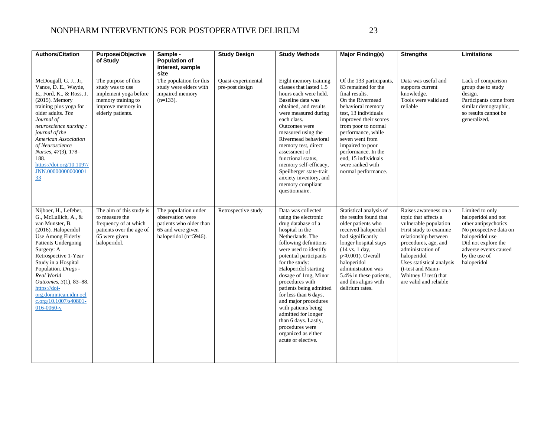### NONPHARM INTERVENTIONS FOR POSTOPERATIVE DELIRIUM 23

| <b>Authors/Citation</b>                                                                                                                                                                                                                                                                                                                               | <b>Purpose/Objective</b><br>of Study                                                                                             | Sample -<br><b>Population of</b><br>interest, sample<br>size                                                          | <b>Study Design</b>                   | <b>Study Methods</b>                                                                                                                                                                                                                                                                                                                                                                                                                                                                       | <b>Major Finding(s)</b>                                                                                                                                                                                                                                                                                                                  | <b>Strengths</b>                                                                                                                                                                                                                                                                         | <b>Limitations</b>                                                                                                                                                                          |
|-------------------------------------------------------------------------------------------------------------------------------------------------------------------------------------------------------------------------------------------------------------------------------------------------------------------------------------------------------|----------------------------------------------------------------------------------------------------------------------------------|-----------------------------------------------------------------------------------------------------------------------|---------------------------------------|--------------------------------------------------------------------------------------------------------------------------------------------------------------------------------------------------------------------------------------------------------------------------------------------------------------------------------------------------------------------------------------------------------------------------------------------------------------------------------------------|------------------------------------------------------------------------------------------------------------------------------------------------------------------------------------------------------------------------------------------------------------------------------------------------------------------------------------------|------------------------------------------------------------------------------------------------------------------------------------------------------------------------------------------------------------------------------------------------------------------------------------------|---------------------------------------------------------------------------------------------------------------------------------------------------------------------------------------------|
| McDougall, G. J., Jr,<br>Vance, D. E., Wayde,<br>E., Ford, K., & Ross, J.<br>(2015). Memory<br>training plus yoga for<br>older adults. The<br>Journal of<br>neuroscience nursing:<br>journal of the<br>American Association<br>of Neuroscience<br>Nurses, 47(3), 178-<br>188.<br>https://doi.org/10.1097/<br>JNN.00000000000001<br>33                 | The purpose of this<br>study was to use<br>implement yoga before<br>memory training to<br>improve memory in<br>elderly patients. | The population for this<br>study were elders with<br>impaired memory<br>$(n=133)$ .                                   | Quasi-experimental<br>pre-post design | Eight memory training<br>classes that lasted 1.5<br>hours each were held.<br>Baseline data was<br>obtained, and results<br>were measured during<br>each class.<br>Outcomes were<br>measured using the<br>Rivermead behavioral<br>memory test, direct<br>assessment of<br>functional status,<br>memory self-efficacy,<br>Speilberger state-trait<br>anxiety inventory, and<br>memory compliant<br>questionnaire.                                                                            | Of the 133 participants,<br>83 remained for the<br>final results.<br>On the Rivermead<br>behavioral memory<br>test, 13 individuals<br>improved their scores<br>from poor to normal<br>performance, while<br>seven went from<br>impaired to poor<br>performance. In the<br>end, 15 individuals<br>were ranked with<br>normal performance. | Data was useful and<br>supports current<br>knowledge.<br>Tools were valid and<br>reliable                                                                                                                                                                                                | Lack of comparison<br>group due to study<br>design.<br>Participants come from<br>similar demographic,<br>so results cannot be<br>generalized.                                               |
| Nijboer, H., Lefeber,<br>G., McLullich, A., &<br>van Munster, B.<br>(2016). Haloperidol<br>Use Among Elderly<br>Patients Undergoing<br>Surgery: A<br>Retrospective 1-Year<br>Study in a Hospital<br>Population. Drugs -<br>Real World<br>Outcomes, 3(1), 83-88.<br>https://doi-<br>org.dominican.idm.ocl<br>c.org/10.1007/s40801-<br>$016 - 0060 - y$ | The aim of this study is<br>to measure the<br>frequency of at which<br>patients over the age of<br>65 were given<br>haloperidol. | The population under<br>observation were<br>patients who older than<br>65 and were given<br>haloperidol ( $n=5946$ ). | Retrospective study                   | Data was collected<br>using the electronic<br>drug database of a<br>hospital in the<br>Netherlands. The<br>following definitions<br>were used to identify<br>potential participants<br>for the study:<br>Haloperidol starting<br>dosage of 1mg, Minor<br>procedures with<br>patients being admitted<br>for less than 6 days,<br>and major procedures<br>with patients being<br>admitted for longer<br>than 6 days. Lastly,<br>procedures were<br>organized as either<br>acute or elective. | Statistical analysis of<br>the results found that<br>older patients who<br>received haloperidol<br>had significantly<br>longer hospital stays<br>$(14 \text{ vs. } 1 \text{ day},$<br>p<0.001). Overall<br>haloperidol<br>administration was<br>5.4% in these patients,<br>and this aligns with<br>delirium rates.                       | Raises awareness on a<br>topic that affects a<br>vulnerable population<br>First study to examine<br>relationship between<br>procedures, age, and<br>administration of<br>haloperidol<br>Uses statistical analysis<br>(t-test and Mann-<br>Whitney U test) that<br>are valid and reliable | Limited to only<br>haloperidol and not<br>other antipsychotics<br>No prospective data on<br>haloperidol use<br>Did not explore the<br>adverse events caused<br>by the use of<br>haloperidol |